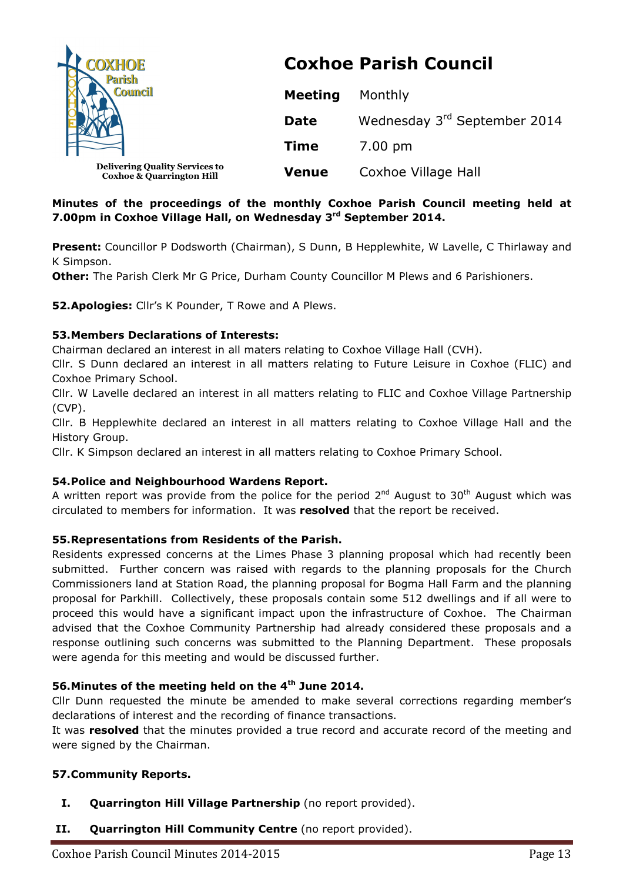| COXHOE<br><b>Parish</b><br><b>Council</b>                                     | <b>Coxhoe Parish Council</b> |                              |
|-------------------------------------------------------------------------------|------------------------------|------------------------------|
|                                                                               | <b>Meeting</b>               | Monthly                      |
|                                                                               | <b>Date</b>                  | Wednesday 3rd September 2014 |
|                                                                               | <b>Time</b>                  | 7.00 pm                      |
| <b>Delivering Quality Services to</b><br><b>Coxhoe &amp; Quarrington Hill</b> | <b>Venue</b>                 | Coxhoe Village Hall          |

## **Minutes of the proceedings of the monthly Coxhoe Parish Council meeting held at 7.00pm in Coxhoe Village Hall, on Wednesday 3rd September 2014.**

**Present:** Councillor P Dodsworth (Chairman), S Dunn, B Hepplewhite, W Lavelle, C Thirlaway and K Simpson.

**Other:** The Parish Clerk Mr G Price, Durham County Councillor M Plews and 6 Parishioners.

**52.Apologies:** Cllr's K Pounder, T Rowe and A Plews.

## **53.Members Declarations of Interests:**

Chairman declared an interest in all maters relating to Coxhoe Village Hall (CVH).

Cllr. S Dunn declared an interest in all matters relating to Future Leisure in Coxhoe (FLIC) and Coxhoe Primary School.

Cllr. W Lavelle declared an interest in all matters relating to FLIC and Coxhoe Village Partnership (CVP).

Cllr. B Hepplewhite declared an interest in all matters relating to Coxhoe Village Hall and the History Group.

Cllr. K Simpson declared an interest in all matters relating to Coxhoe Primary School.

## **54.Police and Neighbourhood Wardens Report.**

A written report was provide from the police for the period  $2^{nd}$  August to 30<sup>th</sup> August which was circulated to members for information. It was **resolved** that the report be received.

# **55.Representations from Residents of the Parish.**

Residents expressed concerns at the Limes Phase 3 planning proposal which had recently been submitted. Further concern was raised with regards to the planning proposals for the Church Commissioners land at Station Road, the planning proposal for Bogma Hall Farm and the planning proposal for Parkhill. Collectively, these proposals contain some 512 dwellings and if all were to proceed this would have a significant impact upon the infrastructure of Coxhoe. The Chairman advised that the Coxhoe Community Partnership had already considered these proposals and a response outlining such concerns was submitted to the Planning Department. These proposals were agenda for this meeting and would be discussed further.

# **56.Minutes of the meeting held on the 4th June 2014.**

Cllr Dunn requested the minute be amended to make several corrections regarding member's declarations of interest and the recording of finance transactions.

It was **resolved** that the minutes provided a true record and accurate record of the meeting and were signed by the Chairman.

# **57.Community Reports.**

- **I. Quarrington Hill Village Partnership** (no report provided).
- **II. Quarrington Hill Community Centre** (no report provided).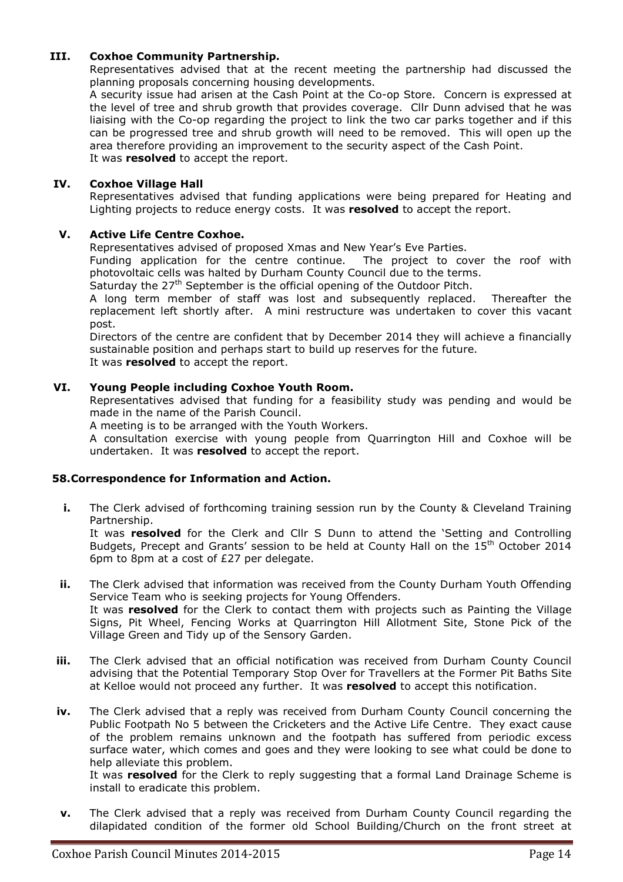### **III. Coxhoe Community Partnership.**

Representatives advised that at the recent meeting the partnership had discussed the planning proposals concerning housing developments.

A security issue had arisen at the Cash Point at the Co-op Store. Concern is expressed at the level of tree and shrub growth that provides coverage. Cllr Dunn advised that he was liaising with the Co-op regarding the project to link the two car parks together and if this can be progressed tree and shrub growth will need to be removed. This will open up the area therefore providing an improvement to the security aspect of the Cash Point. It was **resolved** to accept the report.

### **IV. Coxhoe Village Hall**

Representatives advised that funding applications were being prepared for Heating and Lighting projects to reduce energy costs. It was **resolved** to accept the report.

### **V. Active Life Centre Coxhoe.**

Representatives advised of proposed Xmas and New Year's Eve Parties.

Funding application for the centre continue. The project to cover the roof with photovoltaic cells was halted by Durham County Council due to the terms.

Saturday the 27<sup>th</sup> September is the official opening of the Outdoor Pitch.

A long term member of staff was lost and subsequently replaced. Thereafter the replacement left shortly after. A mini restructure was undertaken to cover this vacant post.

Directors of the centre are confident that by December 2014 they will achieve a financially sustainable position and perhaps start to build up reserves for the future.

It was **resolved** to accept the report.

### **VI. Young People including Coxhoe Youth Room.**

Representatives advised that funding for a feasibility study was pending and would be made in the name of the Parish Council.

A meeting is to be arranged with the Youth Workers.

A consultation exercise with young people from Quarrington Hill and Coxhoe will be undertaken. It was **resolved** to accept the report.

#### **58.Correspondence for Information and Action.**

**i.** The Clerk advised of forthcoming training session run by the County & Cleveland Training Partnership.

It was **resolved** for the Clerk and Cllr S Dunn to attend the 'Setting and Controlling Budgets, Precept and Grants' session to be held at County Hall on the 15<sup>th</sup> October 2014 6pm to 8pm at a cost of £27 per delegate.

- **ii.** The Clerk advised that information was received from the County Durham Youth Offending Service Team who is seeking projects for Young Offenders. It was **resolved** for the Clerk to contact them with projects such as Painting the Village Signs, Pit Wheel, Fencing Works at Quarrington Hill Allotment Site, Stone Pick of the Village Green and Tidy up of the Sensory Garden.
- **iii.** The Clerk advised that an official notification was received from Durham County Council advising that the Potential Temporary Stop Over for Travellers at the Former Pit Baths Site at Kelloe would not proceed any further. It was **resolved** to accept this notification.
- **iv.** The Clerk advised that a reply was received from Durham County Council concerning the Public Footpath No 5 between the Cricketers and the Active Life Centre. They exact cause of the problem remains unknown and the footpath has suffered from periodic excess surface water, which comes and goes and they were looking to see what could be done to help alleviate this problem.

It was **resolved** for the Clerk to reply suggesting that a formal Land Drainage Scheme is install to eradicate this problem.

**v.** The Clerk advised that a reply was received from Durham County Council regarding the dilapidated condition of the former old School Building/Church on the front street at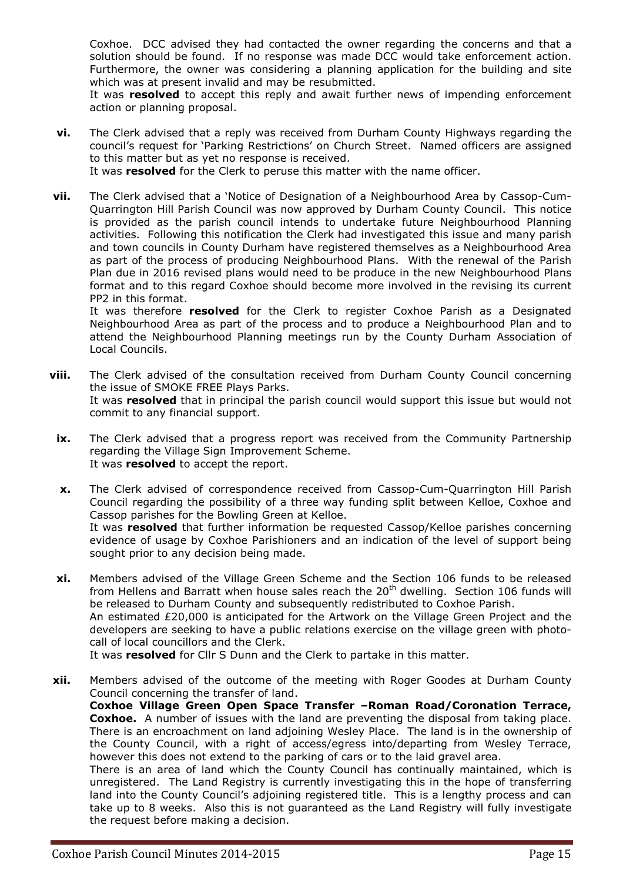Coxhoe. DCC advised they had contacted the owner regarding the concerns and that a solution should be found. If no response was made DCC would take enforcement action. Furthermore, the owner was considering a planning application for the building and site which was at present invalid and may be resubmitted.

It was **resolved** to accept this reply and await further news of impending enforcement action or planning proposal.

- **vi.** The Clerk advised that a reply was received from Durham County Highways regarding the council's request for 'Parking Restrictions' on Church Street. Named officers are assigned to this matter but as yet no response is received. It was **resolved** for the Clerk to peruse this matter with the name officer.
- **vii.** The Clerk advised that a 'Notice of Designation of a Neighbourhood Area by Cassop-Cum-Quarrington Hill Parish Council was now approved by Durham County Council. This notice is provided as the parish council intends to undertake future Neighbourhood Planning activities. Following this notification the Clerk had investigated this issue and many parish and town councils in County Durham have registered themselves as a Neighbourhood Area as part of the process of producing Neighbourhood Plans. With the renewal of the Parish Plan due in 2016 revised plans would need to be produce in the new Neighbourhood Plans format and to this regard Coxhoe should become more involved in the revising its current PP2 in this format.

It was therefore **resolved** for the Clerk to register Coxhoe Parish as a Designated Neighbourhood Area as part of the process and to produce a Neighbourhood Plan and to attend the Neighbourhood Planning meetings run by the County Durham Association of Local Councils.

- **viii.** The Clerk advised of the consultation received from Durham County Council concerning the issue of SMOKE FREE Plays Parks. It was **resolved** that in principal the parish council would support this issue but would not commit to any financial support.
- **ix.** The Clerk advised that a progress report was received from the Community Partnership regarding the Village Sign Improvement Scheme. It was **resolved** to accept the report.
- **x.** The Clerk advised of correspondence received from Cassop-Cum-Quarrington Hill Parish Council regarding the possibility of a three way funding split between Kelloe, Coxhoe and Cassop parishes for the Bowling Green at Kelloe. It was **resolved** that further information be requested Cassop/Kelloe parishes concerning evidence of usage by Coxhoe Parishioners and an indication of the level of support being sought prior to any decision being made.
- **xi.** Members advised of the Village Green Scheme and the Section 106 funds to be released from Hellens and Barratt when house sales reach the  $20<sup>th</sup>$  dwelling. Section 106 funds will be released to Durham County and subsequently redistributed to Coxhoe Parish. An estimated £20,000 is anticipated for the Artwork on the Village Green Project and the developers are seeking to have a public relations exercise on the village green with photocall of local councillors and the Clerk.

It was **resolved** for Cllr S Dunn and the Clerk to partake in this matter.

**xii.** Members advised of the outcome of the meeting with Roger Goodes at Durham County Council concerning the transfer of land. **Coxhoe Village Green Open Space Transfer –Roman Road/Coronation Terrace, Coxhoe.** A number of issues with the land are preventing the disposal from taking place. There is an encroachment on land adjoining Wesley Place. The land is in the ownership of the County Council, with a right of access/egress into/departing from Wesley Terrace, however this does not extend to the parking of cars or to the laid gravel area. There is an area of land which the County Council has continually maintained, which is unregistered. The Land Registry is currently investigating this in the hope of transferring land into the County Council's adjoining registered title. This is a lengthy process and can take up to 8 weeks. Also this is not guaranteed as the Land Registry will fully investigate the request before making a decision.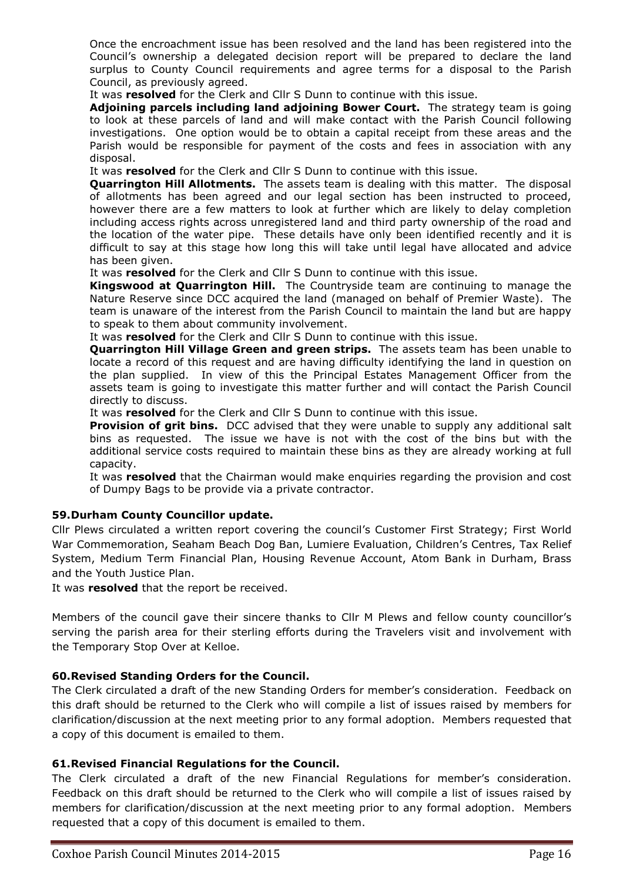Once the encroachment issue has been resolved and the land has been registered into the Council's ownership a delegated decision report will be prepared to declare the land surplus to County Council requirements and agree terms for a disposal to the Parish Council, as previously agreed.

It was **resolved** for the Clerk and Cllr S Dunn to continue with this issue.

**Adjoining parcels including land adjoining Bower Court.** The strategy team is going to look at these parcels of land and will make contact with the Parish Council following investigations. One option would be to obtain a capital receipt from these areas and the Parish would be responsible for payment of the costs and fees in association with any disposal.

It was **resolved** for the Clerk and Cllr S Dunn to continue with this issue.

**Quarrington Hill Allotments.** The assets team is dealing with this matter. The disposal of allotments has been agreed and our legal section has been instructed to proceed, however there are a few matters to look at further which are likely to delay completion including access rights across unregistered land and third party ownership of the road and the location of the water pipe. These details have only been identified recently and it is difficult to say at this stage how long this will take until legal have allocated and advice has been given.

It was **resolved** for the Clerk and Cllr S Dunn to continue with this issue.

**Kingswood at Quarrington Hill.** The Countryside team are continuing to manage the Nature Reserve since DCC acquired the land (managed on behalf of Premier Waste). The team is unaware of the interest from the Parish Council to maintain the land but are happy to speak to them about community involvement.

It was **resolved** for the Clerk and Cllr S Dunn to continue with this issue.

**Quarrington Hill Village Green and green strips.** The assets team has been unable to locate a record of this request and are having difficulty identifying the land in question on the plan supplied. In view of this the Principal Estates Management Officer from the assets team is going to investigate this matter further and will contact the Parish Council directly to discuss.

It was **resolved** for the Clerk and Cllr S Dunn to continue with this issue.

**Provision of grit bins.** DCC advised that they were unable to supply any additional salt bins as requested. The issue we have is not with the cost of the bins but with the additional service costs required to maintain these bins as they are already working at full capacity.

It was **resolved** that the Chairman would make enquiries regarding the provision and cost of Dumpy Bags to be provide via a private contractor.

#### **59.Durham County Councillor update.**

Cllr Plews circulated a written report covering the council's Customer First Strategy; First World War Commemoration, Seaham Beach Dog Ban, Lumiere Evaluation, Children's Centres, Tax Relief System, Medium Term Financial Plan, Housing Revenue Account, Atom Bank in Durham, Brass and the Youth Justice Plan.

It was **resolved** that the report be received.

Members of the council gave their sincere thanks to Cllr M Plews and fellow county councillor's serving the parish area for their sterling efforts during the Travelers visit and involvement with the Temporary Stop Over at Kelloe.

#### **60.Revised Standing Orders for the Council.**

The Clerk circulated a draft of the new Standing Orders for member's consideration. Feedback on this draft should be returned to the Clerk who will compile a list of issues raised by members for clarification/discussion at the next meeting prior to any formal adoption. Members requested that a copy of this document is emailed to them.

#### **61.Revised Financial Regulations for the Council.**

The Clerk circulated a draft of the new Financial Regulations for member's consideration. Feedback on this draft should be returned to the Clerk who will compile a list of issues raised by members for clarification/discussion at the next meeting prior to any formal adoption. Members requested that a copy of this document is emailed to them.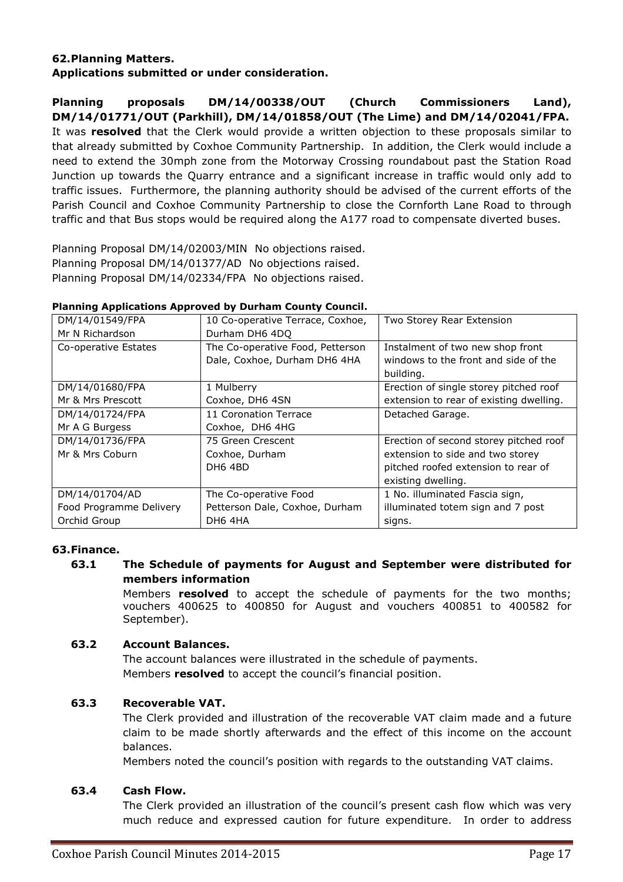## **62.Planning Matters. Applications submitted or under consideration.**

**Planning proposals DM/14/00338/OUT (Church Commissioners Land), DM/14/01771/OUT (Parkhill), DM/14/01858/OUT (The Lime) and DM/14/02041/FPA.**  It was **resolved** that the Clerk would provide a written objection to these proposals similar to that already submitted by Coxhoe Community Partnership. In addition, the Clerk would include a need to extend the 30mph zone from the Motorway Crossing roundabout past the Station Road Junction up towards the Quarry entrance and a significant increase in traffic would only add to traffic issues. Furthermore, the planning authority should be advised of the current efforts of the Parish Council and Coxhoe Community Partnership to close the Cornforth Lane Road to through traffic and that Bus stops would be required along the A177 road to compensate diverted buses.

Planning Proposal DM/14/02003/MIN No objections raised. Planning Proposal DM/14/01377/AD No objections raised. Planning Proposal DM/14/02334/FPA No objections raised.

| DM/14/01549/FPA         | 10 Co-operative Terrace, Coxhoe, | Two Storey Rear Extension               |
|-------------------------|----------------------------------|-----------------------------------------|
| Mr N Richardson         | Durham DH6 4DQ                   |                                         |
| Co-operative Estates    | The Co-operative Food, Petterson | Instalment of two new shop front        |
|                         | Dale, Coxhoe, Durham DH6 4HA     | windows to the front and side of the    |
|                         |                                  | building.                               |
| DM/14/01680/FPA         | 1 Mulberry                       | Erection of single storey pitched roof  |
| Mr & Mrs Prescott       | Coxhoe, DH6 4SN                  | extension to rear of existing dwelling. |
| DM/14/01724/FPA         | 11 Coronation Terrace            | Detached Garage.                        |
| Mr A G Burgess          | Coxhoe, DH6 4HG                  |                                         |
| DM/14/01736/FPA         | 75 Green Crescent                | Erection of second storey pitched roof  |
| Mr & Mrs Coburn         | Coxhoe, Durham                   | extension to side and two storey        |
|                         | DH <sub>6</sub> 4BD              | pitched roofed extension to rear of     |
|                         |                                  | existing dwelling.                      |
| DM/14/01704/AD          | The Co-operative Food            | 1 No. illuminated Fascia sign,          |
| Food Programme Delivery | Petterson Dale, Coxhoe, Durham   | illuminated totem sign and 7 post       |
| Orchid Group            | DH6 4HA                          | signs.                                  |

### **Planning Applications Approved by Durham County Council.**

# **63.Finance.**

# **63.1 The Schedule of payments for August and September were distributed for members information**

Members **resolved** to accept the schedule of payments for the two months; vouchers 400625 to 400850 for August and vouchers 400851 to 400582 for September).

## **63.2 Account Balances.**

The account balances were illustrated in the schedule of payments. Members **resolved** to accept the council's financial position.

## **63.3 Recoverable VAT.**

The Clerk provided and illustration of the recoverable VAT claim made and a future claim to be made shortly afterwards and the effect of this income on the account balances.

Members noted the council's position with regards to the outstanding VAT claims.

## **63.4 Cash Flow.**

The Clerk provided an illustration of the council's present cash flow which was very much reduce and expressed caution for future expenditure. In order to address